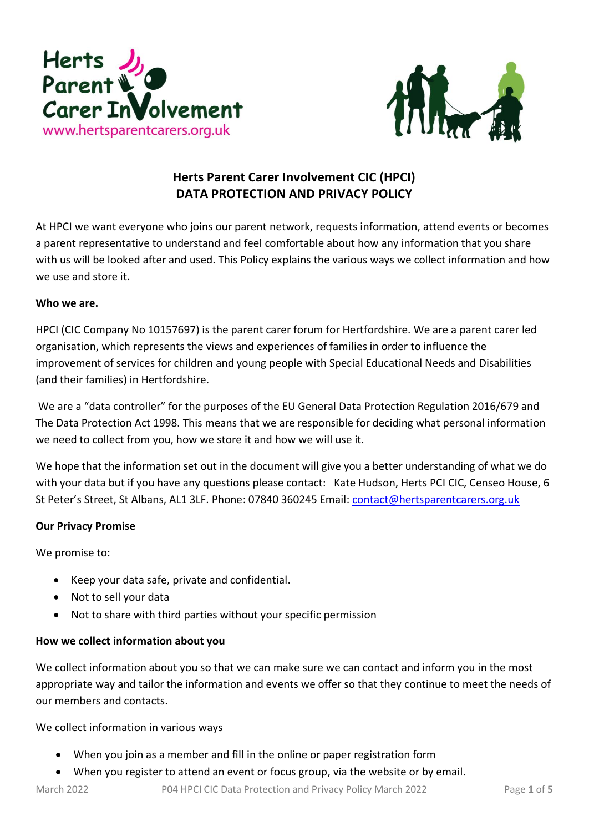



# **Herts Parent Carer Involvement CIC (HPCI) DATA PROTECTION AND PRIVACY POLICY**

At HPCI we want everyone who joins our parent network, requests information, attend events or becomes a parent representative to understand and feel comfortable about how any information that you share with us will be looked after and used. This Policy explains the various ways we collect information and how we use and store it.

## **Who we are.**

HPCI (CIC Company No 10157697) is the parent carer forum for Hertfordshire. We are a parent carer led organisation, which represents the views and experiences of families in order to influence the improvement of services for children and young people with Special Educational Needs and Disabilities (and their families) in Hertfordshire.

We are a "data controller" for the purposes of the EU General Data Protection Regulation 2016/679 and The Data Protection Act 1998. This means that we are responsible for deciding what personal information we need to collect from you, how we store it and how we will use it.

We hope that the information set out in the document will give you a better understanding of what we do with your data but if you have any questions please contact: Kate Hudson, Herts PCI CIC, Censeo House, 6 St Peter's Street, St Albans, AL1 3LF. Phone: 07840 360245 Email: [contact@hertsparentcarers.org.uk](mailto:contact@hertsparentcarers.org.uk)

# **Our Privacy Promise**

We promise to:

- Keep your data safe, private and confidential.
- Not to sell your data
- Not to share with third parties without your specific permission

# **How we collect information about you**

We collect information about you so that we can make sure we can contact and inform you in the most appropriate way and tailor the information and events we offer so that they continue to meet the needs of our members and contacts.

We collect information in various ways

- When you join as a member and fill in the online or paper registration form
- When you register to attend an event or focus group, via the website or by email.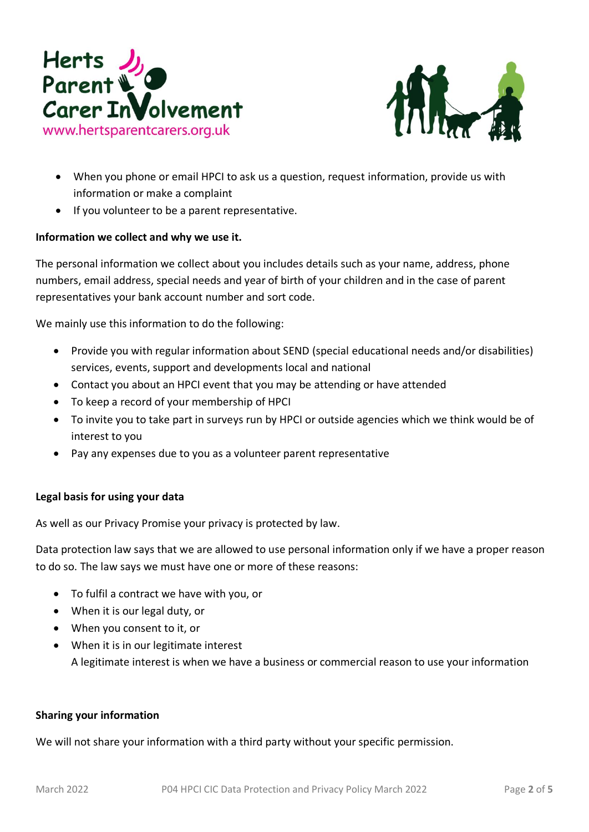



- When you phone or email HPCI to ask us a question, request information, provide us with information or make a complaint
- If you volunteer to be a parent representative.

## **Information we collect and why we use it.**

The personal information we collect about you includes details such as your name, address, phone numbers, email address, special needs and year of birth of your children and in the case of parent representatives your bank account number and sort code.

We mainly use this information to do the following:

- Provide you with regular information about SEND (special educational needs and/or disabilities) services, events, support and developments local and national
- Contact you about an HPCI event that you may be attending or have attended
- To keep a record of your membership of HPCI
- To invite you to take part in surveys run by HPCI or outside agencies which we think would be of interest to you
- Pay any expenses due to you as a volunteer parent representative

#### **Legal basis for using your data**

As well as our Privacy Promise your privacy is protected by law.

Data protection law says that we are allowed to use personal information only if we have a proper reason to do so. The law says we must have one or more of these reasons:

- To fulfil a contract we have with you, or
- When it is our legal duty, or
- When you consent to it, or
- When it is in our legitimate interest A legitimate interest is when we have a business or commercial reason to use your information

#### **Sharing your information**

We will not share your information with a third party without your specific permission.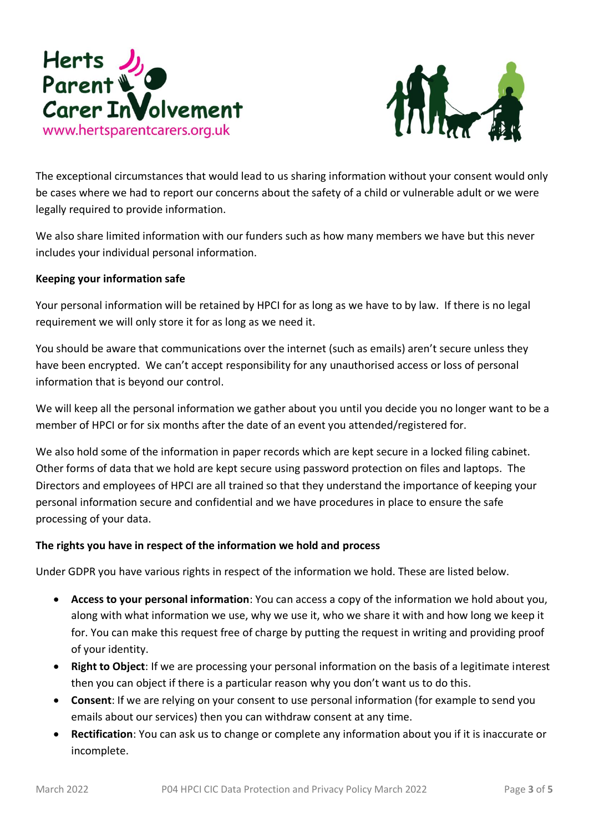



The exceptional circumstances that would lead to us sharing information without your consent would only be cases where we had to report our concerns about the safety of a child or vulnerable adult or we were legally required to provide information.

We also share limited information with our funders such as how many members we have but this never includes your individual personal information.

## **Keeping your information safe**

Your personal information will be retained by HPCI for as long as we have to by law. If there is no legal requirement we will only store it for as long as we need it.

You should be aware that communications over the internet (such as emails) aren't secure unless they have been encrypted. We can't accept responsibility for any unauthorised access or loss of personal information that is beyond our control.

We will keep all the personal information we gather about you until you decide you no longer want to be a member of HPCI or for six months after the date of an event you attended/registered for.

We also hold some of the information in paper records which are kept secure in a locked filing cabinet. Other forms of data that we hold are kept secure using password protection on files and laptops. The Directors and employees of HPCI are all trained so that they understand the importance of keeping your personal information secure and confidential and we have procedures in place to ensure the safe processing of your data.

# **The rights you have in respect of the information we hold and process**

Under GDPR you have various rights in respect of the information we hold. These are listed below.

- **Access to your personal information**: You can access a copy of the information we hold about you, along with what information we use, why we use it, who we share it with and how long we keep it for. You can make this request free of charge by putting the request in writing and providing proof of your identity.
- **Right to Object**: If we are processing your personal information on the basis of a legitimate interest then you can object if there is a particular reason why you don't want us to do this.
- **Consent**: If we are relying on your consent to use personal information (for example to send you emails about our services) then you can withdraw consent at any time.
- **Rectification**: You can ask us to change or complete any information about you if it is inaccurate or incomplete.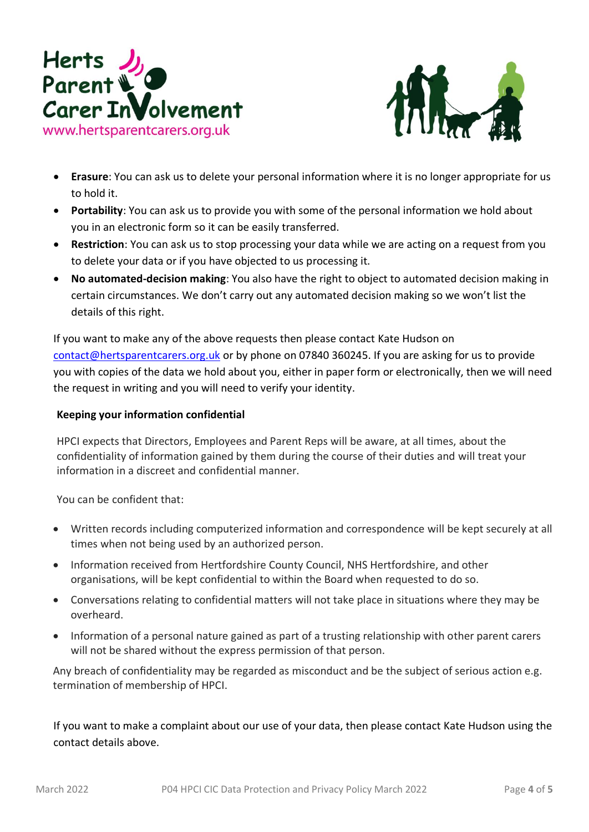



- **Erasure**: You can ask us to delete your personal information where it is no longer appropriate for us to hold it.
- **Portability**: You can ask us to provide you with some of the personal information we hold about you in an electronic form so it can be easily transferred.
- **Restriction**: You can ask us to stop processing your data while we are acting on a request from you to delete your data or if you have objected to us processing it.
- **No automated-decision making**: You also have the right to object to automated decision making in certain circumstances. We don't carry out any automated decision making so we won't list the details of this right.

If you want to make any of the above requests then please contact Kate Hudson on [contact@hertsparentcarers.org.uk](mailto:contact@hertsparentcarers.org.uk) or by phone on 07840 360245. If you are asking for us to provide you with copies of the data we hold about you, either in paper form or electronically, then we will need the request in writing and you will need to verify your identity.

## **Keeping your information confidential**

HPCI expects that Directors, Employees and Parent Reps will be aware, at all times, about the confidentiality of information gained by them during the course of their duties and will treat your information in a discreet and confidential manner.

You can be confident that:

- Written records including computerized information and correspondence will be kept securely at all times when not being used by an authorized person.
- Information received from Hertfordshire County Council, NHS Hertfordshire, and other organisations, will be kept confidential to within the Board when requested to do so.
- Conversations relating to confidential matters will not take place in situations where they may be overheard.
- Information of a personal nature gained as part of a trusting relationship with other parent carers will not be shared without the express permission of that person.

Any breach of confidentiality may be regarded as misconduct and be the subject of serious action e.g. termination of membership of HPCI.

If you want to make a complaint about our use of your data, then please contact Kate Hudson using the contact details above.